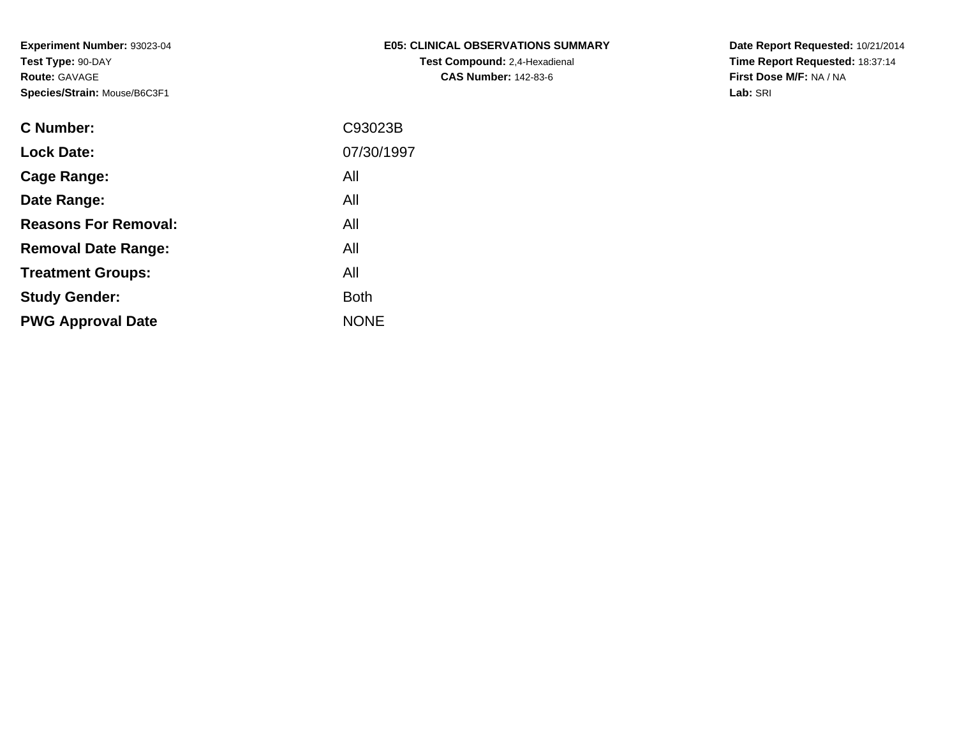| E05: CLINICAL OBSERVATIONS SUMMARY   |
|--------------------------------------|
| <b>Test Compound: 2.4-Hexadienal</b> |
| <b>CAS Number: 142-83-6</b>          |

**Date Report Requested:** 10/21/2014 **Time Report Requested:** 18:37:14**First Dose M/F:** NA / NA**Lab:** SRI

| C Number:                   | C93023B     |
|-----------------------------|-------------|
| <b>Lock Date:</b>           | 07/30/1997  |
| Cage Range:                 | All         |
| Date Range:                 | All         |
| <b>Reasons For Removal:</b> | All         |
| <b>Removal Date Range:</b>  | All         |
| <b>Treatment Groups:</b>    | All         |
| <b>Study Gender:</b>        | <b>Both</b> |
| <b>PWG Approval Date</b>    | <b>NONE</b> |
|                             |             |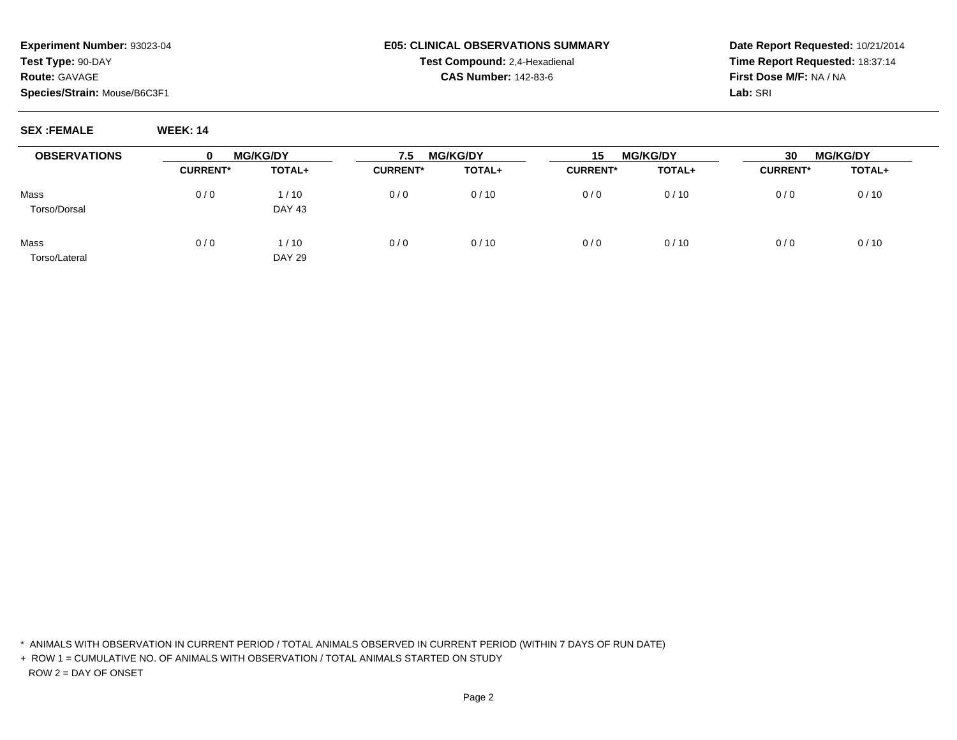## **E05: CLINICAL OBSERVATIONS SUMMARYTest Compound:** 2,4-Hexadienal **CAS Number:** 142-83-6

**Date Report Requested:** 10/21/2014**Time Report Requested:** 18:37:14**First Dose M/F:** NA / NA**Lab:** SRI

**SEX :FEMALE WEEK: 14**

 $\overline{\phantom{0}}$ 

| <b>OBSERVATIONS</b> | $\bf{0}$        | <b>MG/KG/DY</b> | 7.5             | <b>MG/KG/DY</b> | 15              | <b>MG/KG/DY</b> | 30              | <b>MG/KG/DY</b> |
|---------------------|-----------------|-----------------|-----------------|-----------------|-----------------|-----------------|-----------------|-----------------|
|                     | <b>CURRENT*</b> | TOTAL+          | <b>CURRENT*</b> | TOTAL+          | <b>CURRENT*</b> | TOTAL+          | <b>CURRENT*</b> | <b>TOTAL+</b>   |
| Mass                | 0/0             | 1/10            | 0/0             | 0/10            | 0/0             | 0/10            | 0/0             | 0/10            |
| Torso/Dorsal        |                 | <b>DAY 43</b>   |                 |                 |                 |                 |                 |                 |
| Mass                | 0/0             | 1/10            | 0/0             | 0/10            | 0/0             | 0/10            | 0/0             | 0/10            |
| Torso/Lateral       |                 | <b>DAY 29</b>   |                 |                 |                 |                 |                 |                 |

\* ANIMALS WITH OBSERVATION IN CURRENT PERIOD / TOTAL ANIMALS OBSERVED IN CURRENT PERIOD (WITHIN 7 DAYS OF RUN DATE)

+ ROW 1 = CUMULATIVE NO. OF ANIMALS WITH OBSERVATION / TOTAL ANIMALS STARTED ON STUDYROW 2 = DAY OF ONSET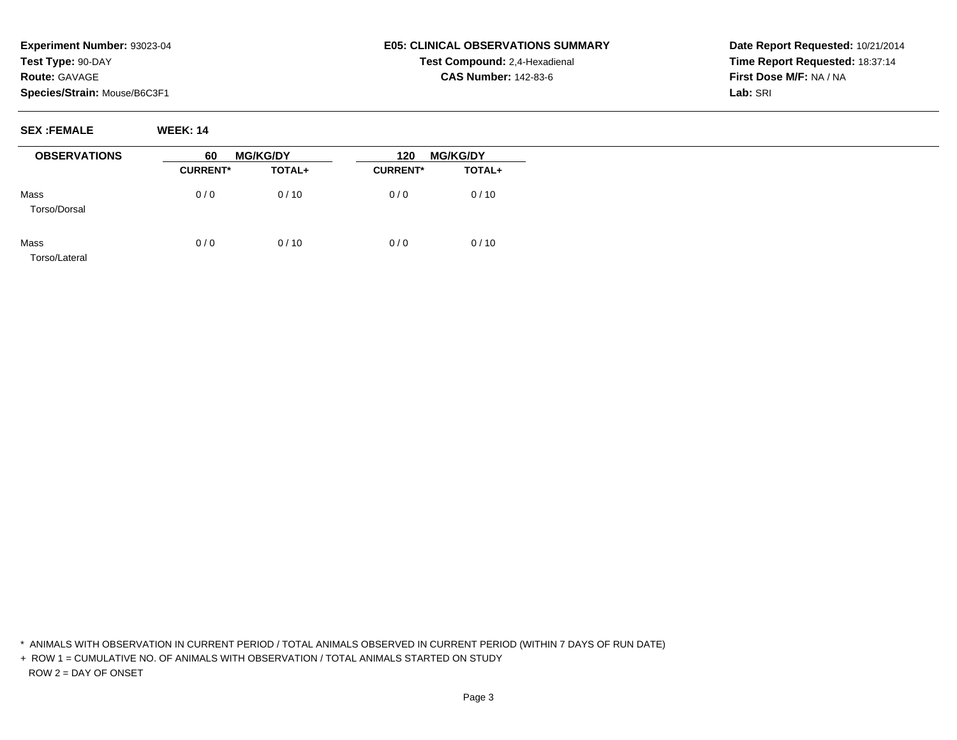## **E05: CLINICAL OBSERVATIONS SUMMARYTest Compound:** 2,4-Hexadienal **CAS Number:** 142-83-6

**Date Report Requested:** 10/21/2014**Time Report Requested:** 18:37:14**First Dose M/F:** NA / NA**Lab:** SRI

**SEX :FEMALE WEEK: 14**

| <b>OBSERVATIONS</b>   | <b>MG/KG/DY</b><br>60 |        | <b>MG/KG/DY</b><br>120 |               |
|-----------------------|-----------------------|--------|------------------------|---------------|
|                       | <b>CURRENT*</b>       | TOTAL+ | <b>CURRENT*</b>        | <b>TOTAL+</b> |
| Mass<br>Torso/Dorsal  | 0/0                   | 0/10   | 0/0                    | 0/10          |
| Mass<br>Torso/Lateral | 0/0                   | 0/10   | 0/0                    | 0/10          |

\* ANIMALS WITH OBSERVATION IN CURRENT PERIOD / TOTAL ANIMALS OBSERVED IN CURRENT PERIOD (WITHIN 7 DAYS OF RUN DATE)

+ ROW 1 = CUMULATIVE NO. OF ANIMALS WITH OBSERVATION / TOTAL ANIMALS STARTED ON STUDYROW 2 = DAY OF ONSET